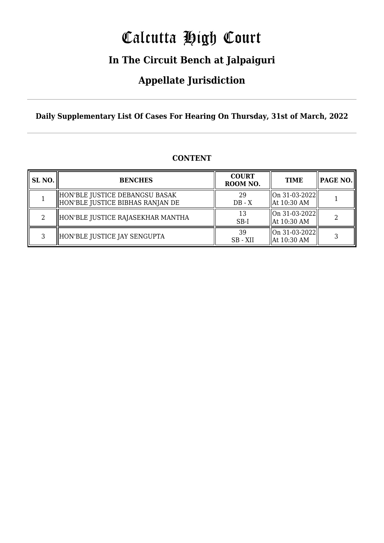# Calcutta High Court

### **In The Circuit Bench at Jalpaiguri**

### **Appellate Jurisdiction**

**Daily Supplementary List Of Cases For Hearing On Thursday, 31st of March, 2022**

| SL <sub>NO.</sub> | <b>BENCHES</b>                                                     | <b>COURT</b><br>ROOM NO. | <b>TIME</b>                                | <b>PAGE NO.</b> |
|-------------------|--------------------------------------------------------------------|--------------------------|--------------------------------------------|-----------------|
|                   | HON'BLE JUSTICE DEBANGSU BASAK<br>HON'BLE JUSTICE BIBHAS RANJAN DE | 29<br>$DB - X$           | On 31-03-2022  <br>$\parallel$ At 10:30 AM |                 |
| റ                 | HON'BLE JUSTICE RAJASEKHAR MANTHA                                  | 13<br>$SB-I$             | On 31-03-2022  <br>$\parallel$ At 10:30 AM |                 |
| ર                 | HON'BLE JUSTICE JAY SENGUPTA                                       | 39<br>SB - XII           | On 31-03-2022  <br>  At 10:30 AM           |                 |

#### **CONTENT**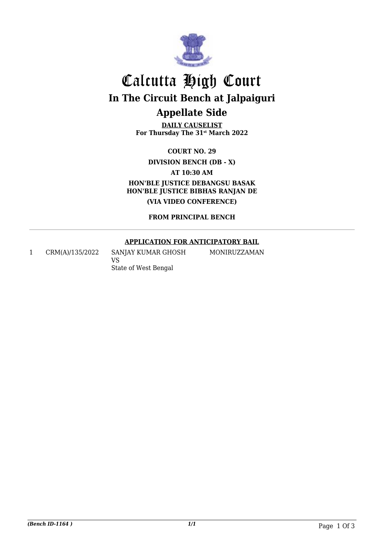

## Calcutta High Court **In The Circuit Bench at Jalpaiguri Appellate Side**

**DAILY CAUSELIST For Thursday The 31st March 2022**

**COURT NO. 29**

**DIVISION BENCH (DB - X)**

**AT 10:30 AM HON'BLE JUSTICE DEBANGSU BASAK HON'BLE JUSTICE BIBHAS RANJAN DE (VIA VIDEO CONFERENCE)**

**FROM PRINCIPAL BENCH**

#### **APPLICATION FOR ANTICIPATORY BAIL**

MONIRUZZAMAN

1 CRM(A)/135/2022 SANJAY KUMAR GHOSH

VS State of West Bengal

*(Bench ID-1164 ) 1/1* Page 1 Of 3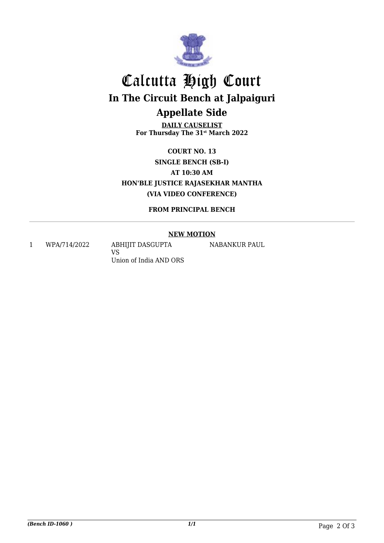

## Calcutta High Court **In The Circuit Bench at Jalpaiguri Appellate Side**

**DAILY CAUSELIST For Thursday The 31st March 2022**

**COURT NO. 13 SINGLE BENCH (SB-I) AT 10:30 AM HON'BLE JUSTICE RAJASEKHAR MANTHA (VIA VIDEO CONFERENCE)**

**FROM PRINCIPAL BENCH**

#### **NEW MOTION**

NABANKUR PAUL

1 WPA/714/2022 ABHIJIT DASGUPTA

VS Union of India AND ORS

*(Bench ID-1060 ) 1/1* Page 2 Of 3